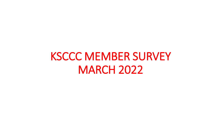# KSCCC MEMBER SURVEY MARCH 2022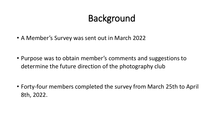## Background

• A Member's Survey was sent out in March 2022

• Purpose was to obtain member's comments and suggestions to determine the future direction of the photography club

• Forty-four members completed the survey from March 25th to April 8th, 2022.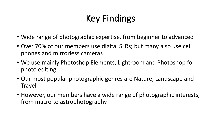## Key Findings

- Wide range of photographic expertise, from beginner to advanced
- Over 70% of our members use digital SLRs; but many also use cell phones and mirrorless cameras
- We use mainly Photoshop Elements, Lightroom and Photoshop for photo editing
- Our most popular photographic genres are Nature, Landscape and **Travel**
- However, our members have a wide range of photographic interests, from macro to astrophotography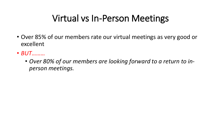### Virtual vs In-Person Meetings

- Over 85% of our members rate our virtual meetings as very good or excellent
- *BUT………*
	- *Over 80% of our members are looking forward to a return to inperson meetings.*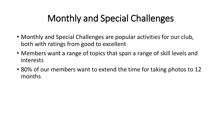## Monthly and Special Challenges

- Monthly and Special Challenges are popular activities for our club, both with ratings from good to excellent
- Members want a range of topics that span a range of skill levels and interests
- 80% of our members want to extend the time for taking photos to 12 months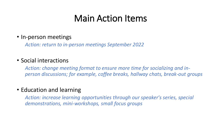### Main Action Items

• In-person meetings

*Action: return to in-person meetings September 2022*

#### • Social interactions

*Action: change meeting format to ensure more time for socializing and inperson discussions; for example, coffee breaks, hallway chats, break-out groups*

#### • Education and learning

*Action: increase learning opportunities through our speaker's series, special demonstrations, mini-workshops, small focus groups*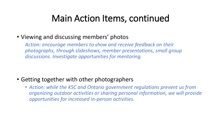### Main Action Items, continued

### • Viewing and discussing members' photos

*Action: encourage members to show and receive feedback on their photographs, through slideshows, member presentations, small group discussions. Investigate opportunities for mentoring.*

### • Getting together with other photographers

• *Action: while the KSC and Ontario government regulations prevent us from organizing outdoor activities or sharing personal information, we will provide opportunities for increased in-person activities.*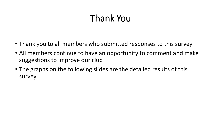## Thank You

- Thank you to all members who submitted responses to this survey
- All members continue to have an opportunity to comment and make suggestions to improve our club
- The graphs on the following slides are the detailed results of this survey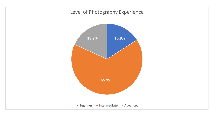#### Level of Photography Experience

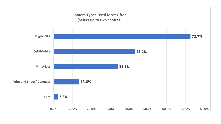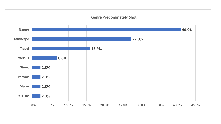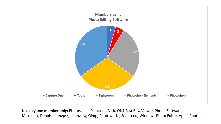

**Used by one member only:** Photoscape, Paint.net, Nick, ON1 Fast Raw Viewer, Phone Software, Microsoft, Denoise, Sharpen, Infanview, Gimp, Photoworks, Snapseed, Windows Photo Editor, Apple Photos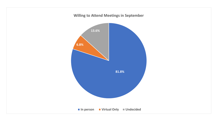#### **Willing to Attend Meetings in September**

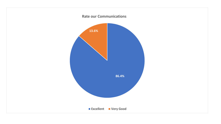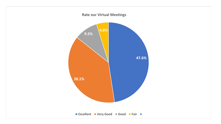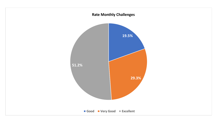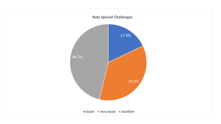